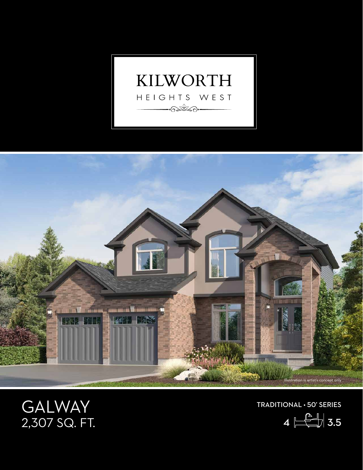



## GALWAY 2,307 SQ. FT.

TRADITIONAL • 50' SERIES

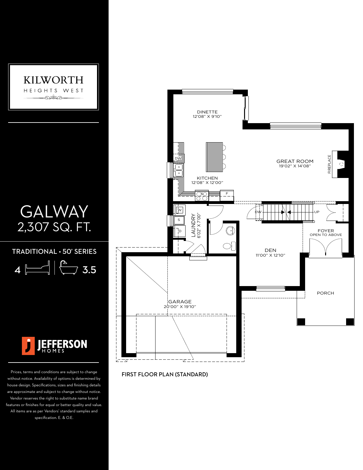

## GALWAY 2,307 SQ. FT. UP

TRADITIONAL • 50' SERIES

 $4 \overline{\phantom{a}}$   $\left| \begin{array}{c} \overline{a} \\ \overline{a} \end{array} \right|$  3.5



Prices, terms and conditions are subject to change without notice. Availability of options is determined by house design. Specifications, sizes and finishing details are approximate and subject to change without notice. Vendor reserves the right to substitute name brand features or finishes for equal or better quality and value. All items are as per Vendors' standard samples and specification. E. & O.E.



FIRST FLOOR PLAN (STANDARD)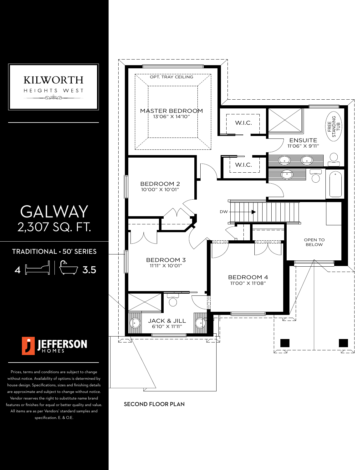